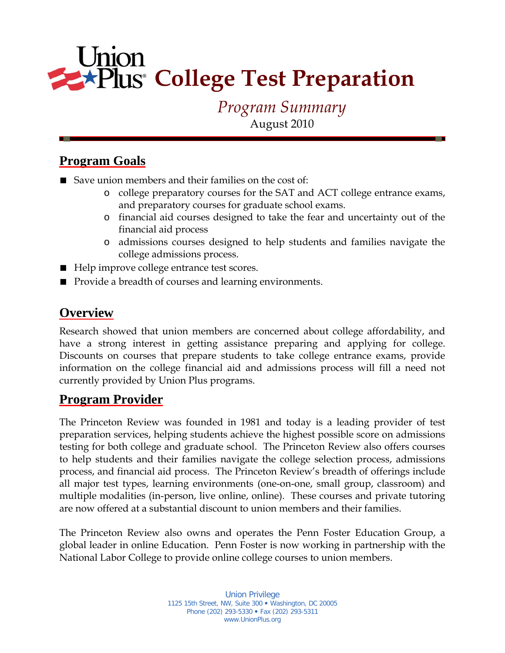# Union  $\blacktriangleright$ Plus<sup>®</sup> College Test Preparation

# *Program Summary*

August 2010

# **Program Goals**

- Save union members and their families on the cost of:
	- o college preparatory courses for the SAT and ACT college entrance exams, and preparatory courses for graduate school exams.
	- o financial aid courses designed to take the fear and uncertainty out of the financial aid process
	- o admissions courses designed to help students and families navigate the college admissions process.
- Help improve college entrance test scores.
- Provide a breadth of courses and learning environments.

# **Overview**

Research showed that union members are concerned about college affordability, and have a strong interest in getting assistance preparing and applying for college. Discounts on courses that prepare students to take college entrance exams, provide information on the college financial aid and admissions process will fill a need not currently provided by Union Plus programs.

# **Program Provider**

The Princeton Review was founded in 1981 and today is a leading provider of test preparation services, helping students achieve the highest possible score on admissions testing for both college and graduate school. The Princeton Review also offers courses to help students and their families navigate the college selection process, admissions process, and financial aid process. The Princeton Review's breadth of offerings include all major test types, learning environments (one-on-one, small group, classroom) and multiple modalities (in-person, live online, online). These courses and private tutoring are now offered at a substantial discount to union members and their families.

The Princeton Review also owns and operates the Penn Foster Education Group, a global leader in online Education. Penn Foster is now working in partnership with the National Labor College to provide online college courses to union members.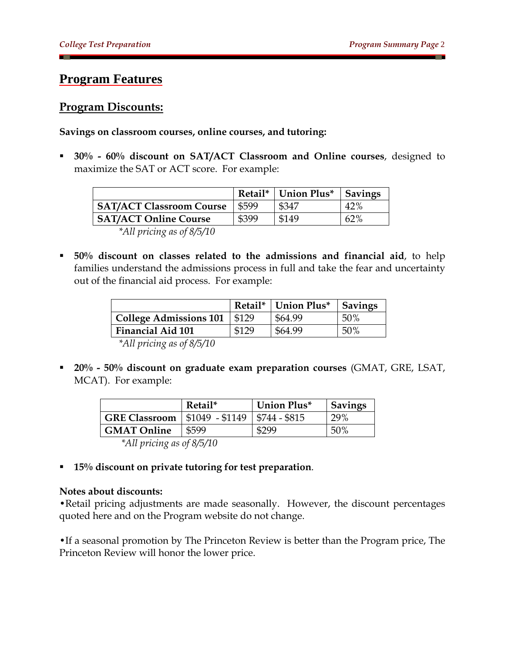### **Program Features**

#### **Program Discounts:**

#### **Savings on classroom courses, online courses, and tutoring:**

 **30% - 60% discount on SAT/ACT Classroom and Online courses**, designed to maximize the SAT or ACT score. For example:

|                                 |       | Retail*   Union Plus* | <b>Savings</b> |
|---------------------------------|-------|-----------------------|----------------|
| <b>SAT/ACT Classroom Course</b> | \$599 | \$347                 | 42%            |
| <b>SAT/ACT Online Course</b>    | \$399 | \$149                 | 62%            |
|                                 |       |                       |                |

 *\*All pricing as of 8/5/10* 

 **50% discount on classes related to the admissions and financial aid**, to help families understand the admissions process in full and take the fear and uncertainty out of the financial aid process. For example:

|                               |       | Retail*   Union Plus* | <b>Savings</b> |
|-------------------------------|-------|-----------------------|----------------|
| <b>College Admissions 101</b> | \$129 | \$64.99               | 50%            |
| <b>Financial Aid 101</b>      | \$129 | \$64.99               | 50%            |

 *\*All pricing as of 8/5/10* 

 **20% - 50% discount on graduate exam preparation courses** (GMAT, GRE, LSAT, MCAT). For example:

|                      | Retail*                | Union Plus*   | <b>Savings</b> |
|----------------------|------------------------|---------------|----------------|
| <b>GRE Classroom</b> | $\mid$ \$1049 - \$1149 | \$744 - \$815 | 29%            |
| <b>GMAT Online</b>   | \$599                  | \$299         | 50%            |

 *\*All pricing as of 8/5/10* 

**15% discount on private tutoring for test preparation**.

#### **Notes about discounts:**

•Retail pricing adjustments are made seasonally. However, the discount percentages quoted here and on the Program website do not change.

•If a seasonal promotion by The Princeton Review is better than the Program price, The Princeton Review will honor the lower price.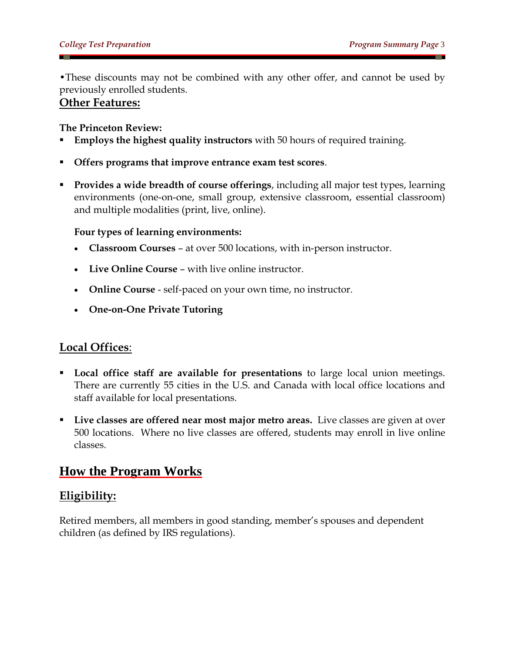•These discounts may not be combined with any other offer, and cannot be used by previously enrolled students.

#### **Other Features:**

#### **The Princeton Review:**

- **Employs the highest quality instructors** with 50 hours of required training.
- **Offers programs that improve entrance exam test scores**.
- **Provides a wide breadth of course offerings**, including all major test types, learning environments (one-on-one, small group, extensive classroom, essential classroom) and multiple modalities (print, live, online).

#### **Four types of learning environments:**

- **Classroom Courses** at over 500 locations, with in-person instructor.
- **Live Online Course** with live online instructor.
- **Online Course** self-paced on your own time, no instructor.
- **One-on-One Private Tutoring**

#### **Local Offices**:

- **Local office staff are available for presentations** to large local union meetings. There are currently 55 cities in the U.S. and Canada with local office locations and staff available for local presentations.
- **Live classes are offered near most major metro areas.** Live classes are given at over 500 locations. Where no live classes are offered, students may enroll in live online classes.

# **How the Program Works**

### **Eligibility:**

Retired members, all members in good standing, member's spouses and dependent children (as defined by IRS regulations).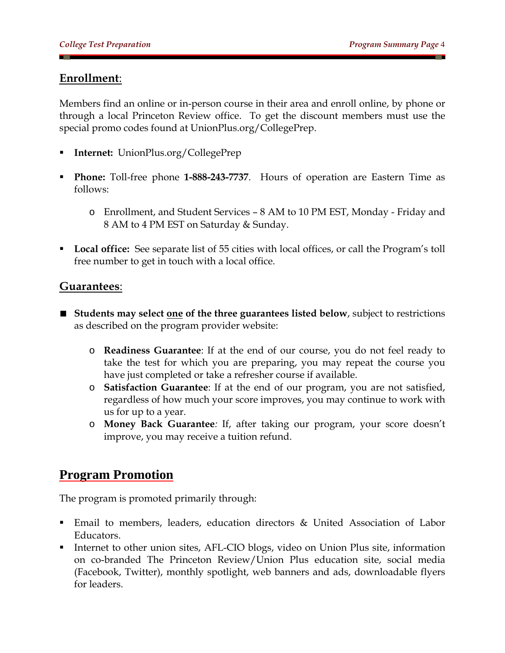### **Enrollment**:

Members find an online or in-person course in their area and enroll online, by phone or through a local Princeton Review office. To get the discount members must use the special promo codes found at UnionPlus.org/CollegePrep.

- **Internet:** UnionPlus.org/CollegePrep
- **Phone:** Toll-free phone **1-888-243-7737**. Hours of operation are Eastern Time as follows:
	- o Enrollment, and Student Services 8 AM to 10 PM EST, Monday Friday and 8 AM to 4 PM EST on Saturday & Sunday.
- **Local office:** See separate list of 55 cities with local offices, or call the Program's toll free number to get in touch with a local office.

#### **Guarantees**:

- **Students may select one of the three guarantees listed below**, subject to restrictions as described on the program provider website:
	- o **Readiness Guarantee**: If at the end of our course, you do not feel ready to take the test for which you are preparing, you may repeat the course you have just completed or take a refresher course if available.
	- o **Satisfaction Guarantee**: If at the end of our program, you are not satisfied, regardless of how much your score improves, you may continue to work with us for up to a year.
	- o **Money Back Guarantee***:* If, after taking our program, your score doesn't improve, you may receive a tuition refund.

# **Program Promotion**

The program is promoted primarily through:

- Email to members, leaders, education directors & United Association of Labor Educators.
- Internet to other union sites, AFL-CIO blogs, video on Union Plus site, information on co-branded The Princeton Review/Union Plus education site, social media (Facebook, Twitter), monthly spotlight, web banners and ads, downloadable flyers for leaders.